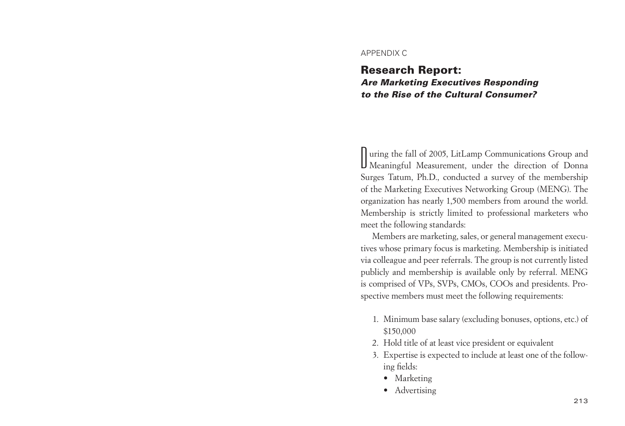## APPENDIX C

# Research Report: Are Marketing Executives Responding to the Rise of the Cultural Consumer?

D Meaningful Measurement, under the direction of Donna uring the fall of 2005, LitLamp Communications Group and Surges Tatum, Ph.D., conducted a survey of the membership of the Marketing Executives Networking Group (MENG). The organization has nearly 1,500 members from around the world. Membership is strictly limited to professional marketers who meet the following standards:

Members are marketing, sales, or general management executives whose primary focus is marketing. Membership is initiated via colleague and peer referrals. The group is not currently listed publicly and membership is available only by referral. MENG is comprised of VPs, SVPs, CMOs, COOs and presidents. Prospective members must meet the following requirements:

- 1. Minimum base salary (excluding bonuses, options, etc.) of \$150,000
- 2. Hold title of at least vice president or equivalent
- 3. Expertise is expected to include at least one of the following fields:
	- Marketing
	- Advertising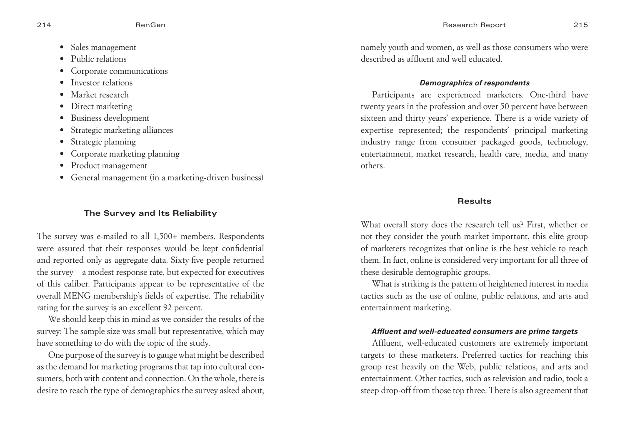- Sales management
- Public relations
- Corporate communications
- Investor relations
- Market research
- Direct marketing
- Business development
- Strategic marketing alliances
- Strategic planning
- Corporate marketing planning
- Product management
- General management (in a marketing-driven business)

## **The Survey and Its Reliability**

The survey was e-mailed to all 1,500+ members. Respondents were assured that their responses would be kept confidential and reported only as aggregate data. Sixty-five people returned the survey—a modest response rate, but expected for executives of this caliber. Participants appear to be representative of the overall MENG membership's fields of expertise. The reliability rating for the survey is an excellent 92 percent.

We should keep this in mind as we consider the results of the survey: The sample size was small but representative, which may have something to do with the topic of the study.

One purpose of the survey is to gauge what might be described as the demand for marketing programs that tap into cultural consumers, both with content and connection. On the whole, there is desire to reach the type of demographics the survey asked about, namely youth and women, as well as those consumers who were described as affluent and well educated.

## **Demographics of respondents**

Participants are experienced marketers. One-third have twenty years in the profession and over 50 percent have between sixteen and thirty years' experience. There is a wide variety of expertise represented; the respondents' principal marketing industry range from consumer packaged goods, technology, entertainment, market research, health care, media, and many others.

## **Results**

What overall story does the research tell us? First, whether or not they consider the youth market important, this elite group of marketers recognizes that online is the best vehicle to reach them. In fact, online is considered very important for all three of these desirable demographic groups.

What is striking is the pattern of heightened interest in media tactics such as the use of online, public relations, and arts and entertainment marketing.

## **Affluent and well-educated consumers are prime targets**

Affluent, well-educated customers are extremely important targets to these marketers. Preferred tactics for reaching this group rest heavily on the Web, public relations, and arts and entertainment. Other tactics, such as television and radio, took a steep drop-off from those top three. There is also agreement that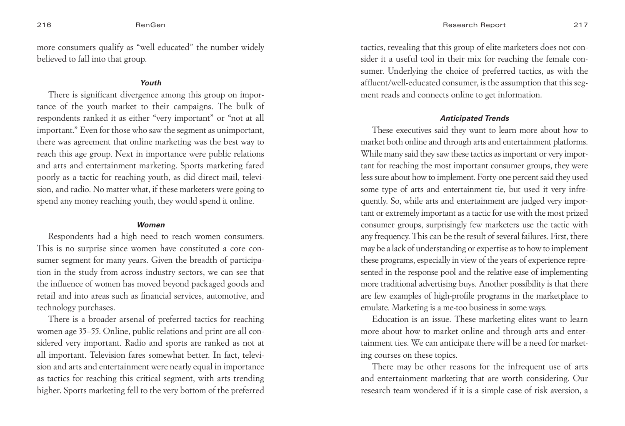more consumers qualify as "well educated" the number widely believed to fall into that group.

#### **Youth**

There is significant divergence among this group on importance of the youth market to their campaigns. The bulk of respondents ranked it as either "very important" or "not at all important." Even for those who saw the segment as unimportant, there was agreement that online marketing was the best way to reach this age group. Next in importance were public relations and arts and entertainment marketing. Sports marketing fared poorly as a tactic for reaching youth, as did direct mail, television, and radio. No matter what, if these marketers were going to spend any money reaching youth, they would spend it online.

#### **Women**

Respondents had a high need to reach women consumers. This is no surprise since women have constituted a core consumer segment for many years. Given the breadth of participation in the study from across industry sectors, we can see that the influence of women has moved beyond packaged goods and retail and into areas such as financial services, automotive, and technology purchases.

There is a broader arsenal of preferred tactics for reaching women age 35–55. Online, public relations and print are all considered very important. Radio and sports are ranked as not at all important. Television fares somewhat better. In fact, television and arts and entertainment were nearly equal in importance as tactics for reaching this critical segment, with arts trending higher. Sports marketing fell to the very bottom of the preferred

tactics, revealing that this group of elite marketers does not consider it a useful tool in their mix for reaching the female consumer. Underlying the choice of preferred tactics, as with the affluent/well-educated consumer, is the assumption that this segment reads and connects online to get information.

#### **Anticipated Trends**

These executives said they want to learn more about how to market both online and through arts and entertainment platforms. While many said they saw these tactics as important or very important for reaching the most important consumer groups, they were less sure about how to implement. Forty-one percent said they used some type of arts and entertainment tie, but used it very infrequently. So, while arts and entertainment are judged very important or extremely important as a tactic for use with the most prized consumer groups, surprisingly few marketers use the tactic with any frequency. This can be the result of several failures. First, there may be a lack of understanding or expertise asto how to implement these programs, especially in view of the years of experience represented in the response pool and the relative ease of implementing more traditional advertising buys. Another possibility is that there are few examples of high-profile programs in the marketplace to emulate. Marketing is a me-too business in some ways.

Education is an issue. These marketing elites want to learn more about how to market online and through arts and entertainment ties. We can anticipate there will be a need for marketing courses on these topics.

There may be other reasons for the infrequent use of arts and entertainment marketing that are worth considering. Our research team wondered if it is a simple case of risk aversion, a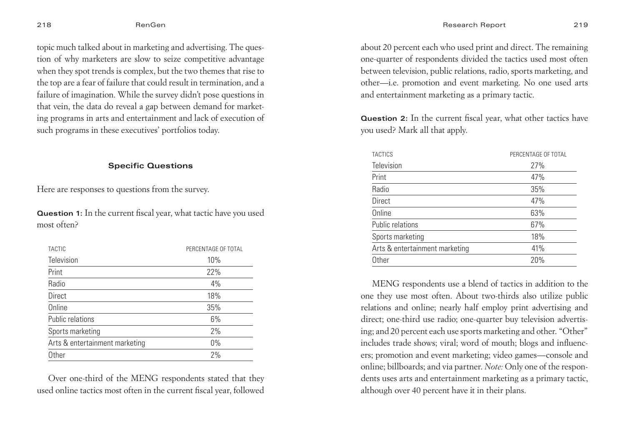topic much talked about in marketing and advertising. The question of why marketers are slow to seize competitive advantage when they spot trends is complex, but the two themes that rise to the top are a fear of failure that could result in termination, and a failure of imagination. While the survey didn't pose questions in that vein, the data do reveal a gap between demand for marketing programs in arts and entertainment and lack of execution of such programs in these executives' portfolios today.

#### **Specific Questions**

Here are responses to questions from the survey.

**Question 1:** In the current fiscal year, what tactic have you used most often?

| <b>TACTIC</b>                  | PERCENTAGE OF TOTAL |
|--------------------------------|---------------------|
| Television                     | 10%                 |
| Print                          | 22%                 |
| Radio                          | 4%                  |
| Direct                         | 18%                 |
| Online                         | 35%                 |
| Public relations               | 6%                  |
| Sports marketing               | 2%                  |
| Arts & entertainment marketing | $0\%$               |
| Other                          | 2%                  |

Over one-third of the MENG respondents stated that they used online tactics most often in the current fiscal year, followed

about 20 percent each who used print and direct. The remaining one-quarter of respondents divided the tactics used most often between television, public relations, radio, sports marketing, and other—i.e. promotion and event marketing. No one used arts and entertainment marketing as a primary tactic.

**Question 2:** In the current fiscal year, what other tactics have you used? Mark all that apply.

| <b>TACTICS</b>                 | PERCENTAGE OF TOTAL |
|--------------------------------|---------------------|
| Television                     | 27%                 |
| Print                          | 47%                 |
| Radio                          | 35%                 |
| <b>Direct</b>                  | 47%                 |
| Online                         | 63%                 |
| Public relations               | 67%                 |
| Sports marketing               | 18%                 |
| Arts & entertainment marketing | 41%                 |
| <b>Other</b>                   | 20%                 |

MENG respondents use a blend of tactics in addition to the one they use most often. About two-thirds also utilize public relations and online; nearly half employ print advertising and direct; one-third use radio; one-quarter buy television advertising; and 20 percent each use sports marketing and other. "Other" includes trade shows; viral; word of mouth; blogs and influencers; promotion and event marketing; video games—console and online; billboards; and via partner. *Note:* Only one of the respondents uses arts and entertainment marketing as a primary tactic, although over 40 percent have it in their plans.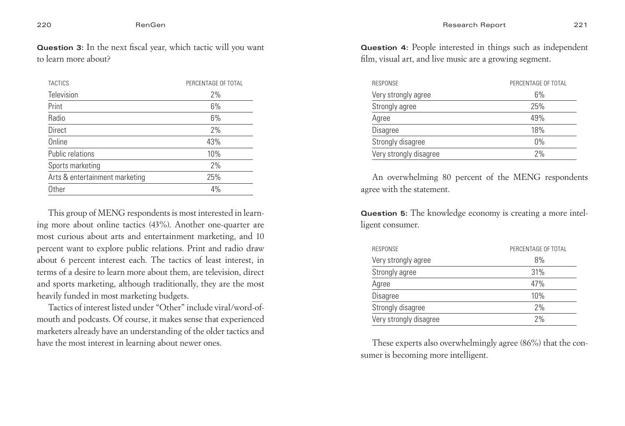**Question 3:** In the next fiscal year, which tactic will you want to learn more about?

| <b>TACTICS</b>                 | PERCENTAGE OF TOTAL |
|--------------------------------|---------------------|
| Television                     | 2%                  |
| Print                          | 6%                  |
| Radio                          | 6%                  |
| <b>Direct</b>                  | 2%                  |
| Online                         | 43%                 |
| Public relations               | 10%                 |
| Sports marketing               | 2%                  |
| Arts & entertainment marketing | 25%                 |
| Other                          | 4%                  |

This group of MENG respondents is most interested in learning more about online tactics (43%). Another one-quarter are most curious about arts and entertainment marketing, and 10 percent want to explore public relations. Print and radio draw about 6 percent interest each. The tactics of least interest, in terms of a desire to learn more about them, are television, direct and sports marketing, although traditionally, they are the most heavily funded in most marketing budgets.

Tactics of interest listed under "Other" include viral/word-ofmouth and podcasts. Of course, it makes sense that experienced marketers already have an understanding of the older tactics and have the most interest in learning about newer ones.

**Question 4:** People interested in things such as independent film, visual art, and live music are a growing segment.

| RESPONSE               | PERCENTAGE OF TOTAL |
|------------------------|---------------------|
| Very strongly agree    | 6%                  |
| Strongly agree         | 25%                 |
| Agree                  | 49%                 |
| Disagree               | 18%                 |
| Strongly disagree      | 0%                  |
| Very strongly disagree | 2%                  |

An overwhelming 80 percent of the MENG respondents agree with the statement.

**Question 5:** The knowledge economy is creating a more intelligent consumer.

| RESPONSE               | PERCENTAGE OF TOTAL |
|------------------------|---------------------|
| Very strongly agree    | 8%                  |
| Strongly agree         | 31%                 |
| Agree                  | 47%                 |
| Disagree               | 10%                 |
| Strongly disagree      | 2%                  |
| Very strongly disagree | 2%                  |

These experts also overwhelmingly agree (86%) that the consumer is becoming more intelligent.